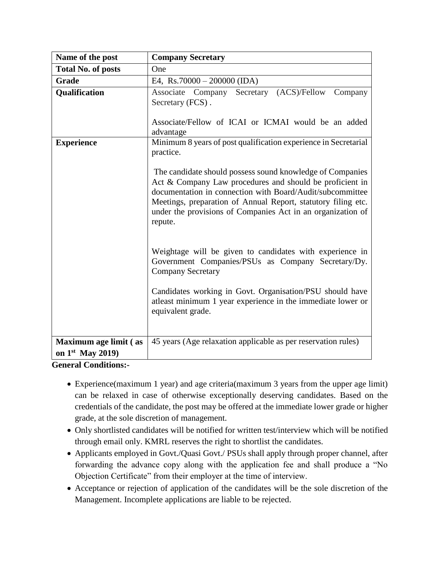| Name of the post                            | <b>Company Secretary</b>                                                                                                                                                                                                                                                                                                      |
|---------------------------------------------|-------------------------------------------------------------------------------------------------------------------------------------------------------------------------------------------------------------------------------------------------------------------------------------------------------------------------------|
| <b>Total No. of posts</b>                   | One                                                                                                                                                                                                                                                                                                                           |
| <b>Grade</b>                                | E4, Rs.70000 – 200000 (IDA)                                                                                                                                                                                                                                                                                                   |
| Qualification                               | Secretary (ACS)/Fellow<br>Associate Company<br>Company<br>Secretary (FCS).<br>Associate/Fellow of ICAI or ICMAI would be an added<br>advantage                                                                                                                                                                                |
| <b>Experience</b>                           | Minimum 8 years of post qualification experience in Secretarial<br>practice.                                                                                                                                                                                                                                                  |
|                                             | The candidate should possess sound knowledge of Companies<br>Act & Company Law procedures and should be proficient in<br>documentation in connection with Board/Audit/subcommittee<br>Meetings, preparation of Annual Report, statutory filing etc.<br>under the provisions of Companies Act in an organization of<br>repute. |
|                                             | Weightage will be given to candidates with experience in<br>Government Companies/PSUs as Company Secretary/Dy.<br><b>Company Secretary</b>                                                                                                                                                                                    |
|                                             | Candidates working in Govt. Organisation/PSU should have<br>atleast minimum 1 year experience in the immediate lower or<br>equivalent grade.                                                                                                                                                                                  |
| Maximum age limit (as<br>on $1st$ May 2019) | 45 years (Age relaxation applicable as per reservation rules)                                                                                                                                                                                                                                                                 |

**General Conditions:-**

- Experience(maximum 1 year) and age criteria(maximum 3 years from the upper age limit) can be relaxed in case of otherwise exceptionally deserving candidates. Based on the credentials of the candidate, the post may be offered at the immediate lower grade or higher grade, at the sole discretion of management.
- Only shortlisted candidates will be notified for written test/interview which will be notified through email only. KMRL reserves the right to shortlist the candidates.
- Applicants employed in Govt./Quasi Govt./ PSUs shall apply through proper channel, after forwarding the advance copy along with the application fee and shall produce a "No Objection Certificate" from their employer at the time of interview.
- Acceptance or rejection of application of the candidates will be the sole discretion of the Management. Incomplete applications are liable to be rejected.